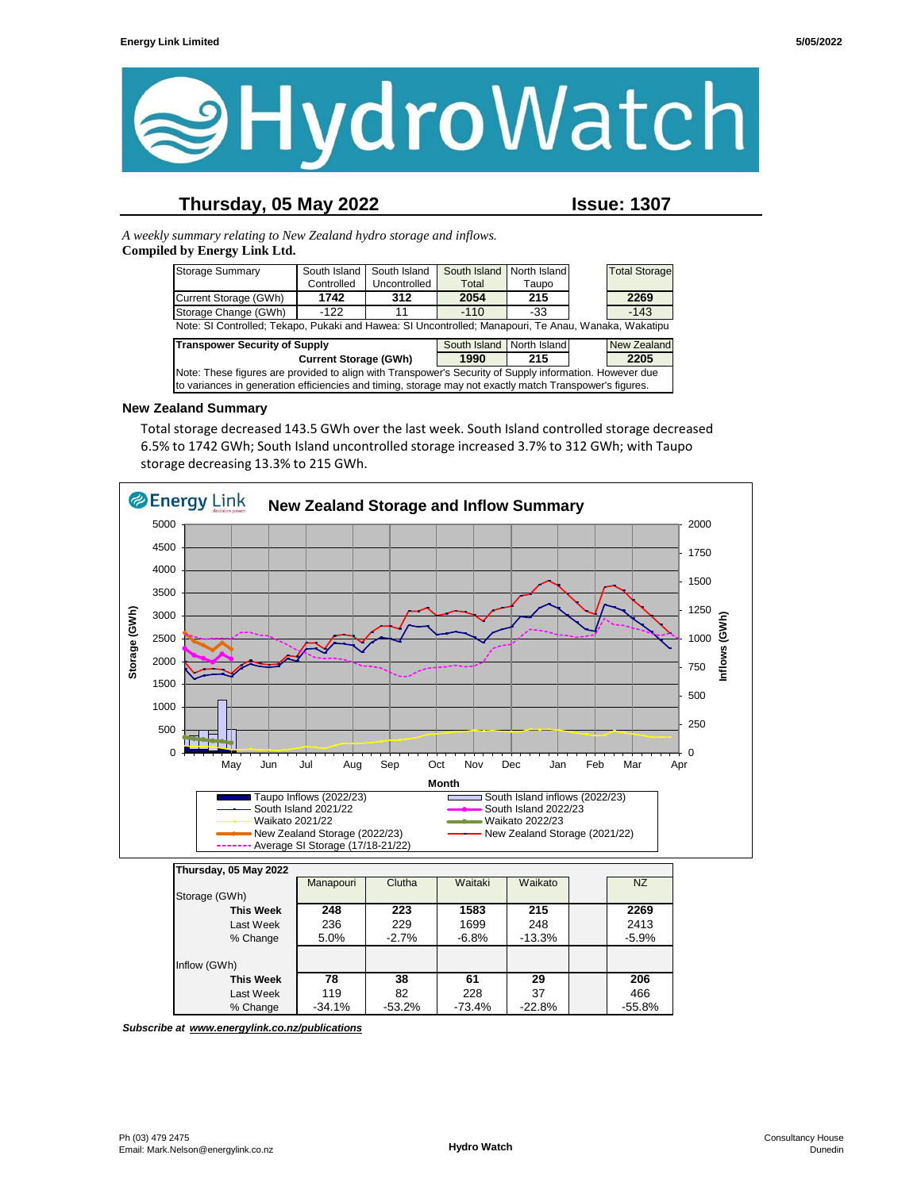

## **Thursday, 05 May 2022 Issue: 1307**

*A weekly summary relating to New Zealand hydro storage and inflows.*  **Compiled by Energy Link Ltd.**

| <b>Storage Summary</b>                                                                                  | South Island                                                      | South Island | South Island I | North Island       |  | <b>Total Storage</b> |
|---------------------------------------------------------------------------------------------------------|-------------------------------------------------------------------|--------------|----------------|--------------------|--|----------------------|
|                                                                                                         | Controlled                                                        | Uncontrolled | Total          | Taupo              |  |                      |
| Current Storage (GWh)                                                                                   | 1742                                                              | 312          | 2054           | 215                |  | 2269                 |
| Storage Change (GWh)                                                                                    | $-122$                                                            | 11           | $-110$         | -33                |  | $-143$               |
| Note: SI Controlled; Tekapo, Pukaki and Hawea: SI Uncontrolled; Manapouri, Te Anau, Wanaka, Wakatipu    |                                                                   |              |                |                    |  |                      |
|                                                                                                         | <b>Transpower Security of Supply</b><br>South Island North Island |              |                | <b>New Zealand</b> |  |                      |
| <b>Current Storage (GWh)</b>                                                                            |                                                                   |              | 1990           | 215                |  | 2205                 |
| Note: These figures are provided to align with Transpower's Security of Supply information. However due |                                                                   |              |                |                    |  |                      |
| to variances in generation efficiencies and timing, storage may not exactly match Transpower's figures. |                                                                   |              |                |                    |  |                      |

#### **New Zealand Summary**

Total storage decreased 143.5 GWh over the last week. South Island controlled storage decreased 6.5% to 1742 GWh; South Island uncontrolled storage increased 3.7% to 312 GWh; with Taupo storage decreasing 13.3% to 215 GWh.



| <b>This Week</b><br>Last Week<br>% Change | 248<br>236<br>5.0% | 223<br>229<br>$-2.7%$ | 1583<br>1699<br>$-6.8%$ | 215<br>248<br>$-13.3%$ | 2269<br>2413<br>$-5.9%$ |
|-------------------------------------------|--------------------|-----------------------|-------------------------|------------------------|-------------------------|
| Inflow (GWh)                              |                    |                       |                         |                        |                         |
| <b>This Week</b>                          | 78                 | 38                    | 61                      | 29                     | 206                     |
| Last Week                                 | 119                | 82                    | 228                     | 37                     | 466                     |
| % Change                                  | $-34.1%$           | $-53.2%$              | $-73.4%$                | $-22.8%$               | $-55.8%$                |

*Subscribe at www.energylink.co.nz/publications*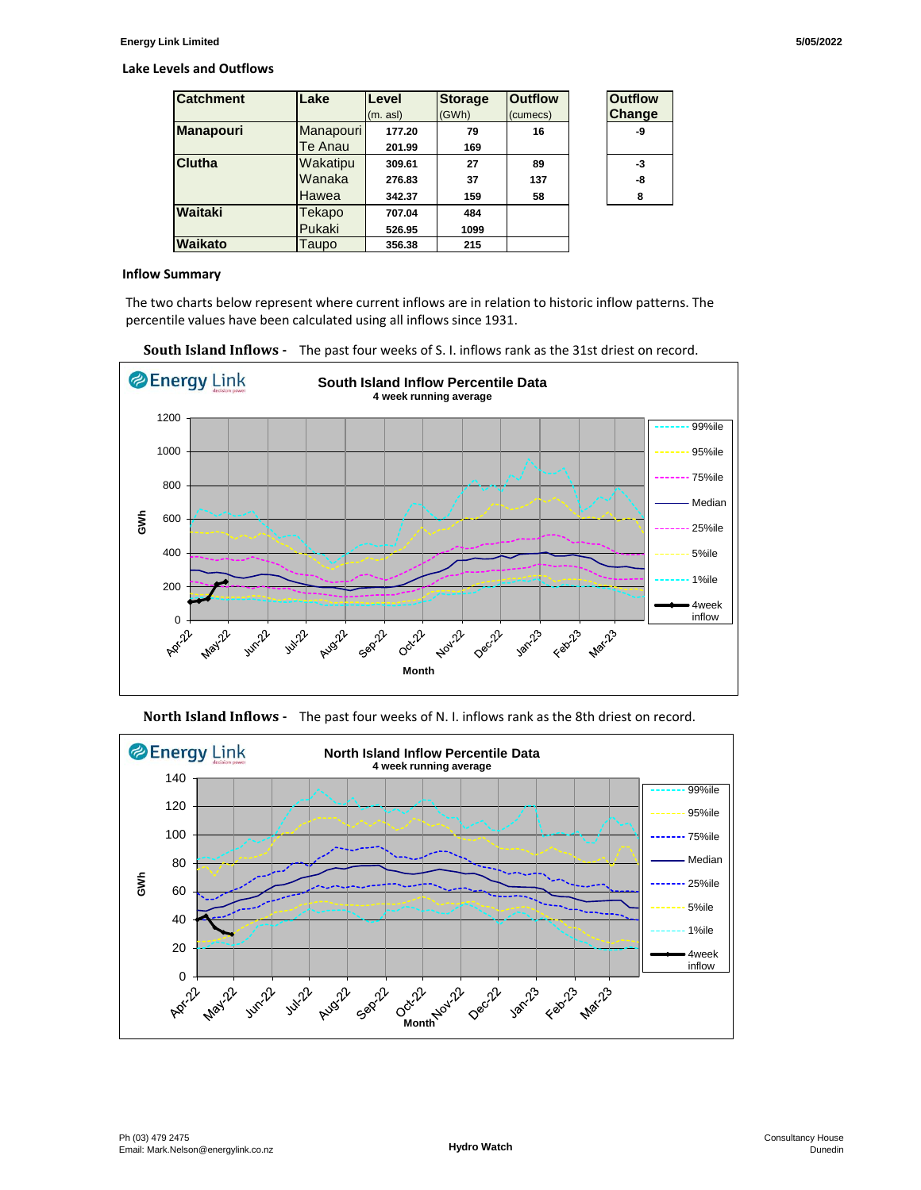#### **Lake Levels and Outflows**

| <b>Catchment</b> | Lake         | Level    | <b>Storage</b> | <b>Outflow</b> | <b>Outflow</b> |
|------------------|--------------|----------|----------------|----------------|----------------|
|                  |              | (m. asl) | (GWh)          | (cumecs)       | Change         |
| <b>Manapouri</b> | Manapouri    | 177.20   | 79             | 16             | -9             |
|                  | Te Anau      | 201.99   | 169            |                |                |
| <b>Clutha</b>    | Wakatipu     | 309.61   | 27             | 89             | -3             |
|                  | Wanaka       | 276.83   | 37             | 137            | -8             |
|                  | <b>Hawea</b> | 342.37   | 159            | 58             | 8              |
| Waitaki          | Tekapo       | 707.04   | 484            |                |                |
|                  | Pukaki       | 526.95   | 1099           |                |                |
| Waikato          | Taupo        | 356.38   | 215            |                |                |

| <b>Outflow</b><br><b>Change</b> |  |
|---------------------------------|--|
| -Q                              |  |
| -3                              |  |
| -8                              |  |
| 8                               |  |

#### **Inflow Summary**

The two charts below represent where current inflows are in relation to historic inflow patterns. The percentile values have been calculated using all inflows since 1931.





**North Island Inflows -** The past four weeks of N. I. inflows rank as the 8th driest on record.

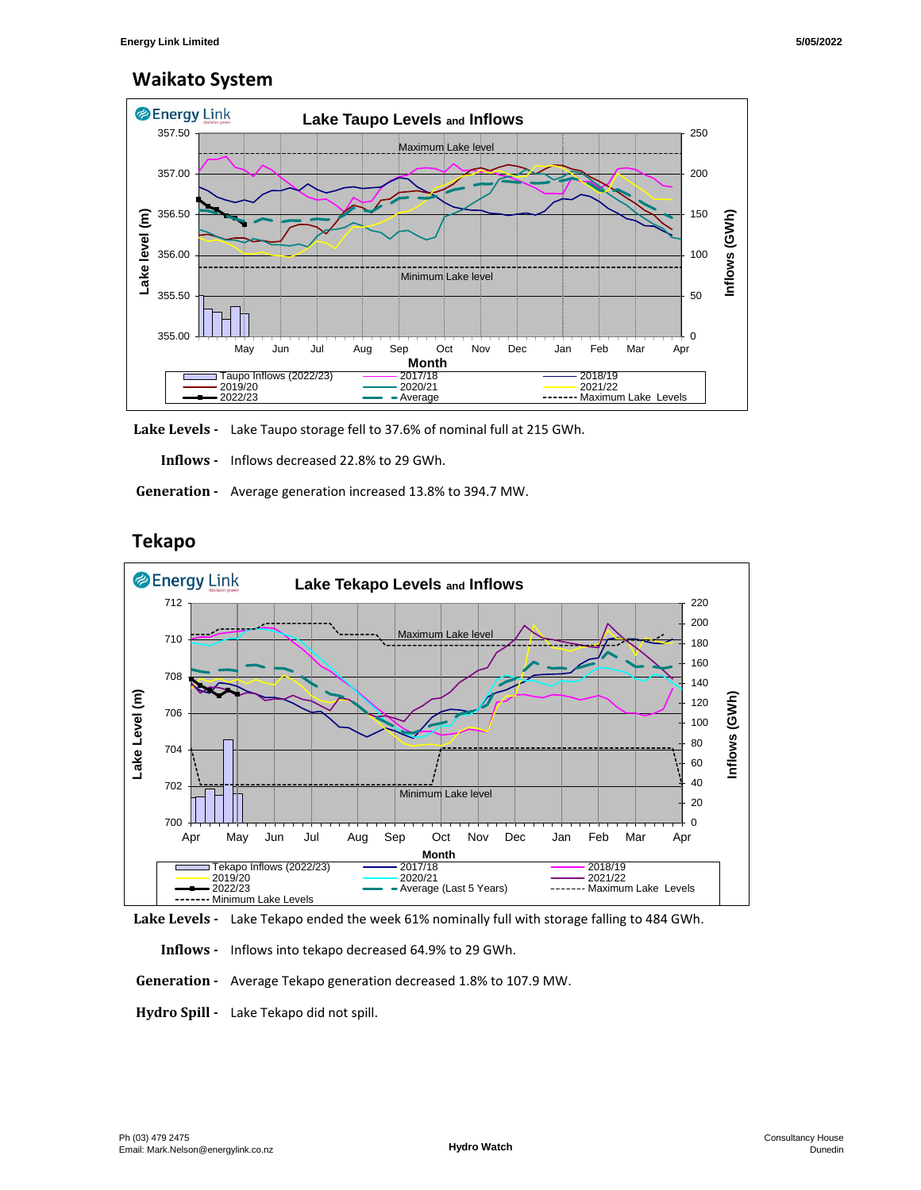## **Waikato System**



**Lake Levels -** Lake Taupo storage fell to 37.6% of nominal full at 215 GWh.

 **Inflows -** Inflows decreased 22.8% to 29 GWh.

 **Generation -** Average generation increased 13.8% to 394.7 MW.



# **Tekapo**



 **Inflows -** Inflows into tekapo decreased 64.9% to 29 GWh.

 **Generation -** Average Tekapo generation decreased 1.8% to 107.9 MW.

**Hydro Spill -** Lake Tekapo did not spill.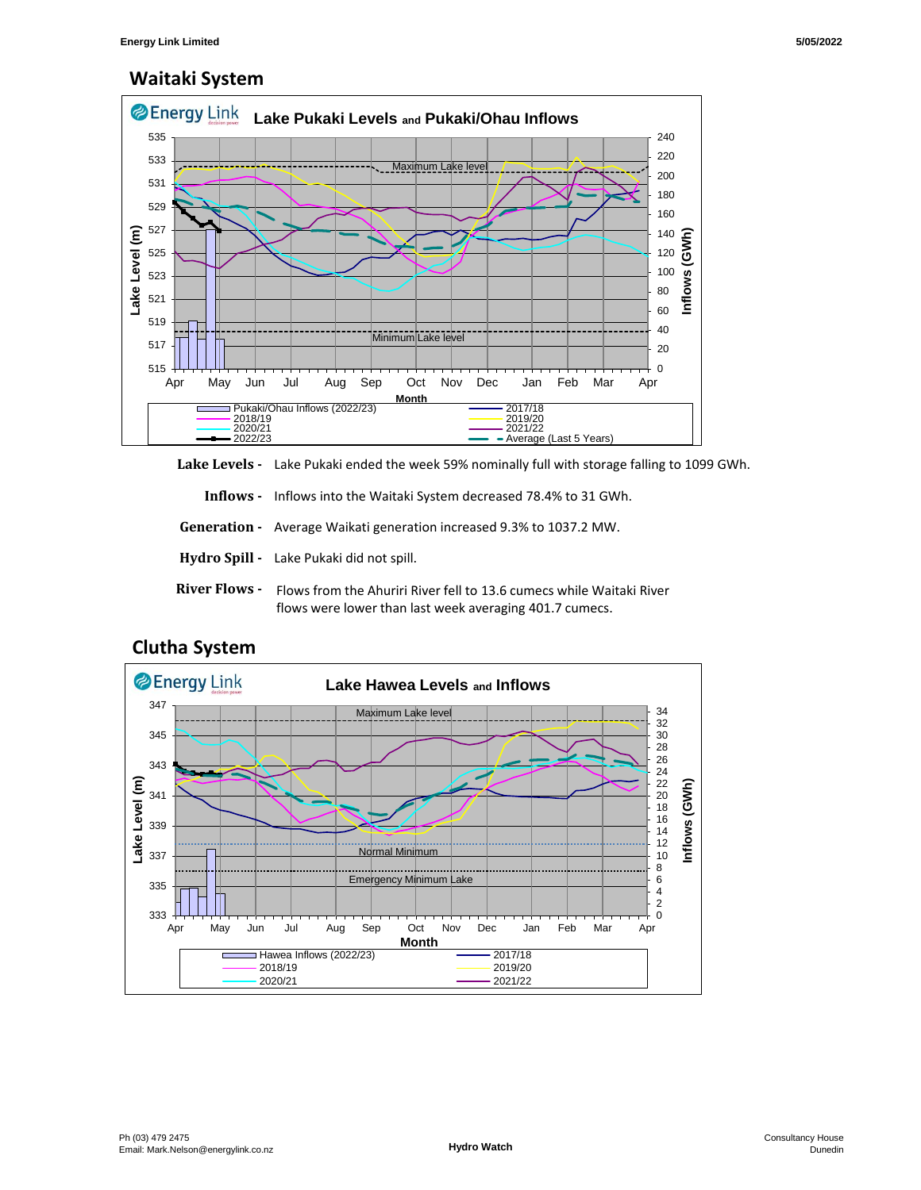## **Waitaki System**



**Lake Levels -** Lake Pukaki ended the week 59% nominally full with storage falling to 1099 GWh.

 **Inflows -** Inflows into the Waitaki System decreased 78.4% to 31 GWh.

 **Generation -** Average Waikati generation increased 9.3% to 1037.2 MW.

- **Hydro Spill** Lake Pukaki did not spill.
- River Flows Flows from the Ahuriri River fell to 13.6 cumecs while Waitaki River flows were lower than last week averaging 401.7 cumecs.



### **Clutha System**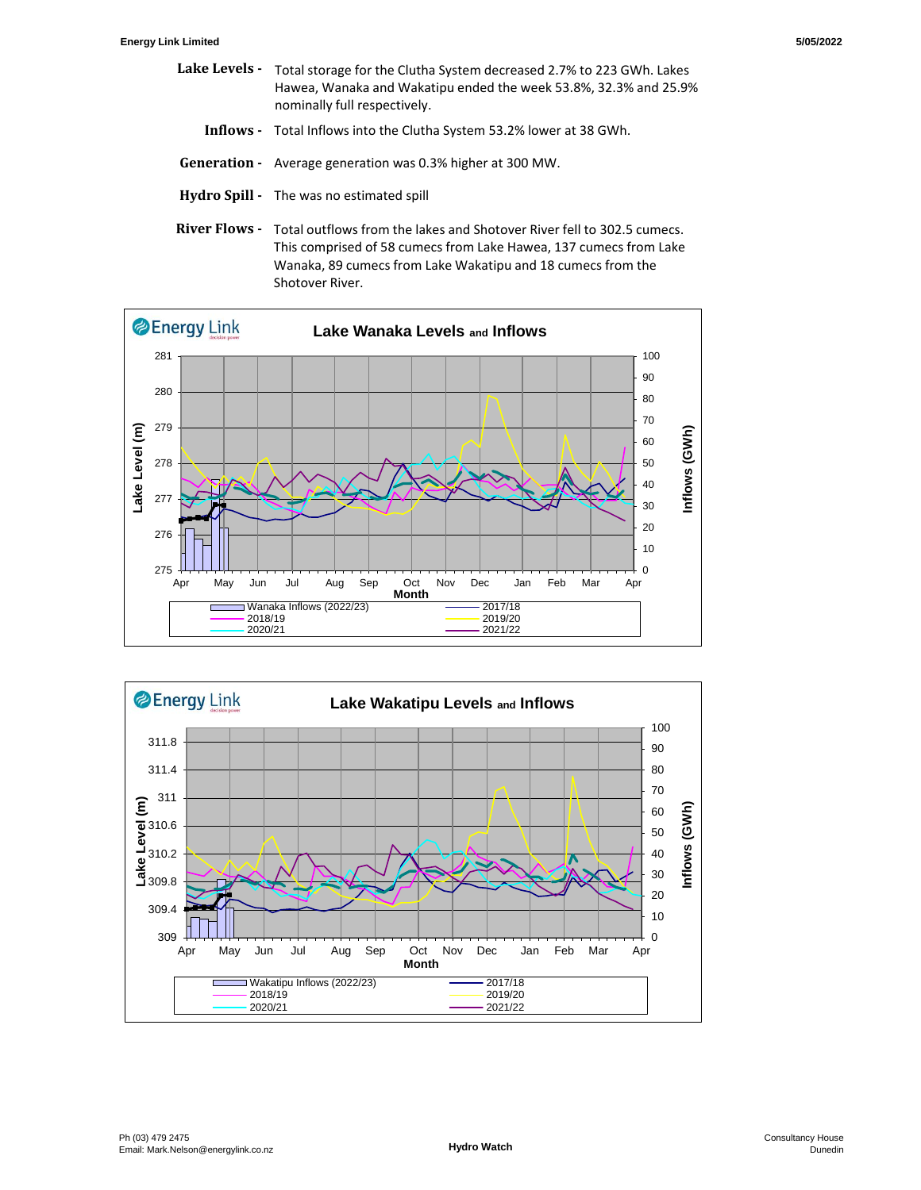- Lake Levels Total storage for the Clutha System decreased 2.7% to 223 GWh. Lakes  **Inflows -** Total Inflows into the Clutha System 53.2% lower at 38 GWh.  **Generation -** Average generation was 0.3% higher at 300 MW. Hawea, Wanaka and Wakatipu ended the week 53.8%, 32.3% and 25.9% nominally full respectively.
- **Hydro Spill** The was no estimated spill
- River Flows Total outflows from the lakes and Shotover River fell to 302.5 cumecs. This comprised of 58 cumecs from Lake Hawea, 137 cumecs from Lake Wanaka, 89 cumecs from Lake Wakatipu and 18 cumecs from the Shotover River.